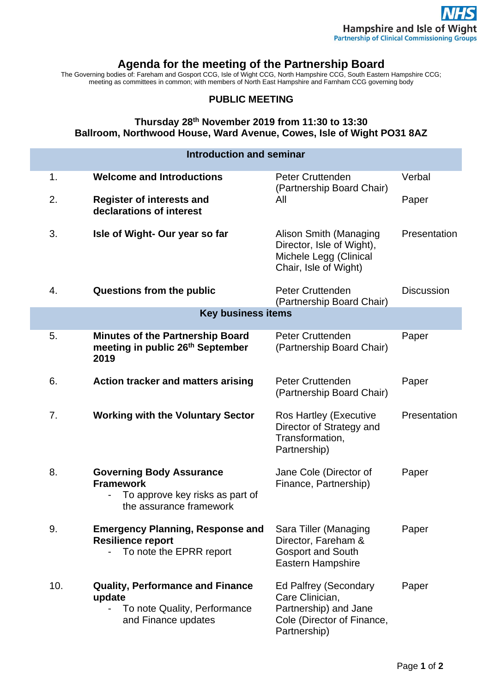## **Agenda for the meeting of the Partnership Board**

The Governing bodies of: Fareham and Gosport CCG, Isle of Wight CCG, North Hampshire CCG, South Eastern Hampshire CCG; meeting as committees in common; with members of North East Hampshire and Farnham CCG governing body

## **PUBLIC MEETING**

## **Thursday 28th November 2019 from 11:30 to 13:30 Ballroom, Northwood House, Ward Avenue, Cowes, Isle of Wight PO31 8AZ**

| <b>Introduction and seminar</b> |                                                                                                                   |                                                                                                                        |                   |
|---------------------------------|-------------------------------------------------------------------------------------------------------------------|------------------------------------------------------------------------------------------------------------------------|-------------------|
| 1.                              | <b>Welcome and Introductions</b>                                                                                  | <b>Peter Cruttenden</b><br>(Partnership Board Chair)                                                                   | Verbal            |
| 2.                              | <b>Register of interests and</b><br>declarations of interest                                                      | All                                                                                                                    | Paper             |
| 3.                              | Isle of Wight- Our year so far                                                                                    | Alison Smith (Managing<br>Director, Isle of Wight),<br>Michele Legg (Clinical<br>Chair, Isle of Wight)                 | Presentation      |
| 4.                              | Questions from the public                                                                                         | <b>Peter Cruttenden</b><br>(Partnership Board Chair)                                                                   | <b>Discussion</b> |
| <b>Key business items</b>       |                                                                                                                   |                                                                                                                        |                   |
| 5.                              | <b>Minutes of the Partnership Board</b><br>meeting in public 26 <sup>th</sup> September<br>2019                   | <b>Peter Cruttenden</b><br>(Partnership Board Chair)                                                                   | Paper             |
| 6.                              | <b>Action tracker and matters arising</b>                                                                         | <b>Peter Cruttenden</b><br>(Partnership Board Chair)                                                                   | Paper             |
| 7.                              | <b>Working with the Voluntary Sector</b>                                                                          | Ros Hartley (Executive<br>Director of Strategy and<br>Transformation,<br>Partnership)                                  | Presentation      |
| 8.                              | <b>Governing Body Assurance</b><br><b>Framework</b><br>To approve key risks as part of<br>the assurance framework | Jane Cole (Director of<br>Finance, Partnership)                                                                        | Paper             |
| 9.                              | <b>Emergency Planning, Response and</b><br><b>Resilience report</b><br>To note the EPRR report                    | Sara Tiller (Managing<br>Director, Fareham &<br><b>Gosport and South</b><br>Eastern Hampshire                          | Paper             |
| 10.                             | <b>Quality, Performance and Finance</b><br>update<br>To note Quality, Performance<br>and Finance updates          | <b>Ed Palfrey (Secondary</b><br>Care Clinician,<br>Partnership) and Jane<br>Cole (Director of Finance,<br>Partnership) | Paper             |